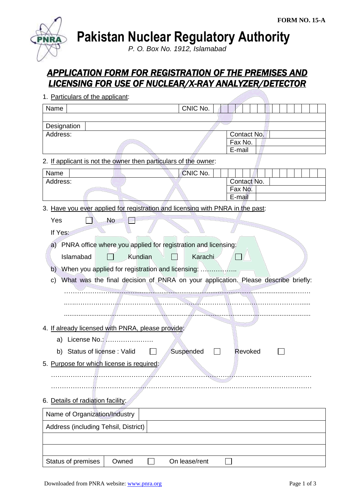

**Pakistan Nuclear Regulatory Authority**

*P. O. Box No. 1912, Islamabad*

# *APPLICATION FORM FOR REGISTRATION OF THE PREMISES AND LICENSING FOR USE OF NUCLEAR/X-RAY ANALYZER/DETECTOR*

| 1. Particulars of the applicant:                                                        |               |                   |
|-----------------------------------------------------------------------------------------|---------------|-------------------|
| Name                                                                                    | CNIC No.      |                   |
|                                                                                         |               |                   |
| Designation                                                                             |               |                   |
| Address:                                                                                |               | Contact No.       |
|                                                                                         |               | Fax No.<br>E-mail |
| 2. If applicant is not the owner then particulars of the owner:                         |               |                   |
| Name                                                                                    | CNIC No.      |                   |
| Address:                                                                                |               | Contact No.       |
|                                                                                         |               | Fax No.           |
|                                                                                         |               | E-mail            |
| 3. Have you ever applied for registration and licensing with PNRA in the past:          |               |                   |
| <b>No</b><br>Yes                                                                        |               |                   |
| If Yes:                                                                                 |               |                   |
| a) PNRA office where you applied for registration and licensing:                        |               |                   |
| Kundian<br>Islamabad                                                                    | Karachi       |                   |
|                                                                                         |               |                   |
| When you applied for registration and licensing:<br>b)                                  |               |                   |
| What was the final decision of PNRA on your application. Please describe briefly:<br>C) |               |                   |
|                                                                                         |               |                   |
|                                                                                         |               |                   |
|                                                                                         |               |                   |
| 4. If already licensed with PNRA, please provide:                                       |               |                   |
| License No.:<br>a)                                                                      |               |                   |
| Status of license: Valid<br>b)                                                          | Suspended     | Revoked           |
| 5. Purpose for which license is required:                                               |               |                   |
|                                                                                         |               |                   |
|                                                                                         |               |                   |
| 6. Details of radiation facility:                                                       |               |                   |
| Name of Organization/Industry                                                           |               |                   |
|                                                                                         |               |                   |
| Address (including Tehsil, District)                                                    |               |                   |
|                                                                                         |               |                   |
| Status of premises<br>Owned                                                             | On lease/rent |                   |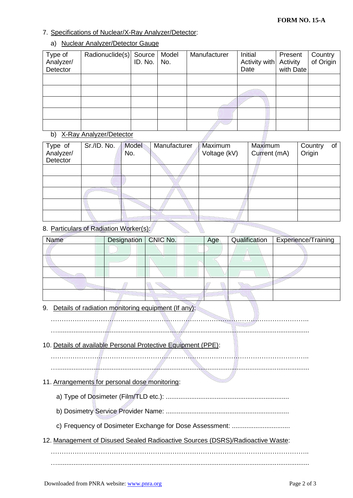## 7. Specifications of Nuclear/X-Ray Analyzer/Detector:

#### a) Nuclear Analyzer/Detector Gauge

| Type of<br>Analyzer/<br>Detector | Radionuclide(s) Source Model<br>ID. No. No. |  | Manufacturer | Initial<br>Activity with Activity<br>Date | Present<br>with Date | Country<br>of Origin |
|----------------------------------|---------------------------------------------|--|--------------|-------------------------------------------|----------------------|----------------------|
|                                  |                                             |  |              |                                           |                      |                      |
|                                  |                                             |  |              |                                           |                      |                      |
|                                  |                                             |  |              |                                           |                      |                      |
|                                  |                                             |  |              |                                           |                      |                      |
|                                  |                                             |  |              |                                           |                      |                      |

## b) X-Ray Analyzer/Detector

| Type of<br>Analyzer/<br>Detector | Sr./ID. No. | <b>Model</b><br>No. | Manufacturer | Maximum<br>Voltage (kV) | Maximum<br>Current (mA) | Country<br>Origin | of |
|----------------------------------|-------------|---------------------|--------------|-------------------------|-------------------------|-------------------|----|
|                                  |             |                     |              |                         |                         |                   |    |
|                                  |             |                     |              |                         |                         |                   |    |
|                                  |             |                     |              |                         |                         |                   |    |
|                                  |             |                     |              |                         |                         |                   |    |
|                                  |             |                     |              |                         |                         |                   |    |

## 8. Particulars of Radiation Worker(s)

| Name | Designation CNIC No. | Age | Qualification | Experience/Training |
|------|----------------------|-----|---------------|---------------------|
|      |                      |     |               |                     |
|      |                      |     |               |                     |
|      |                      |     |               |                     |
|      |                      |     |               |                     |
|      |                      |     |               |                     |

## 9. Details of radiation monitoring equipment (If any):

…...........................................................................................................................................

#### 10. Details of available Personal Protective Equipment (PPE):

………………………………………………………………………………………………………..

…...........................................................................................................................................

## 11. Arrangements for personal dose monitoring:

- a) Type of Dosimeter (Film/TLD etc.): ....................................................................
- b) Dosimetry Service Provider Name: ....................................................................
- c) Frequency of Dosimeter Exchange for Dose Assessment: ................................
- 12. Management of Disused Sealed Radioactive Sources (DSRS)/Radioactive Waste:

………………………………………………………………………………………………………..

…...........................................................................................................................................